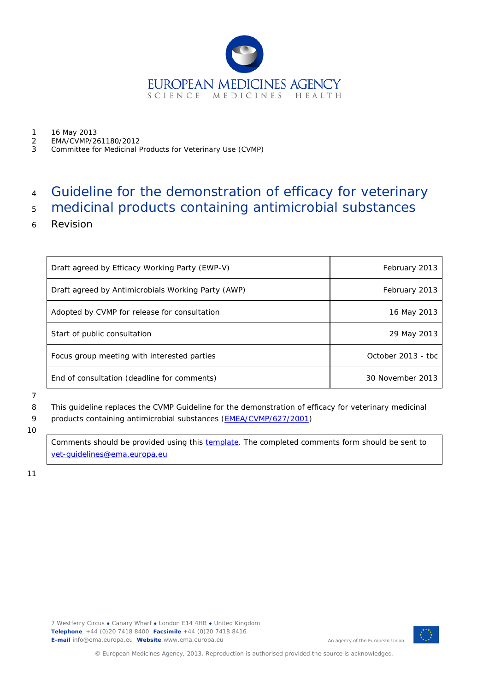

- 1 16 May 2013<br>2 EMA/CVMP/2
- 2 EMA/CVMP/261180/2012
- 3 Committee for Medicinal Products for Veterinary Use (CVMP)

# 4 Guideline for the demonstration of efficacy for veterinary

# 5 medicinal products containing antimicrobial substances

6 Revision

| Draft agreed by Efficacy Working Party (EWP-V)     | February 2013      |
|----------------------------------------------------|--------------------|
| Draft agreed by Antimicrobials Working Party (AWP) | February 2013      |
| Adopted by CVMP for release for consultation       | 16 May 2013        |
| Start of public consultation                       | 29 May 2013        |
| Focus group meeting with interested parties        | October 2013 - tbc |
| End of consultation (deadline for comments)        | 30 November 2013   |

#### 7

8 This guideline replaces the CVMP Guideline for the demonstration of efficacy for veterinary medicinal

9 products containing antimicrobial substances [\(EMEA/CVMP/627/2001\)](http://www.ema.europa.eu/docs/en_GB/document_library/Scientific_guideline/2009/10/WC500004492.pdf)

10

Comments should be provided using this [template.](http://www.ema.europa.eu/docs/en_GB/document_library/Template_or_form/2009/10/WC500004016.doc) The completed comments form should be sent to [vet-guidelines@ema.europa.eu](mailto:vet-guidelines@ema.europa.eu)

11



An agency of the European Union

© European Medicines Agency, 2013. Reproduction is authorised provided the source is acknowledged.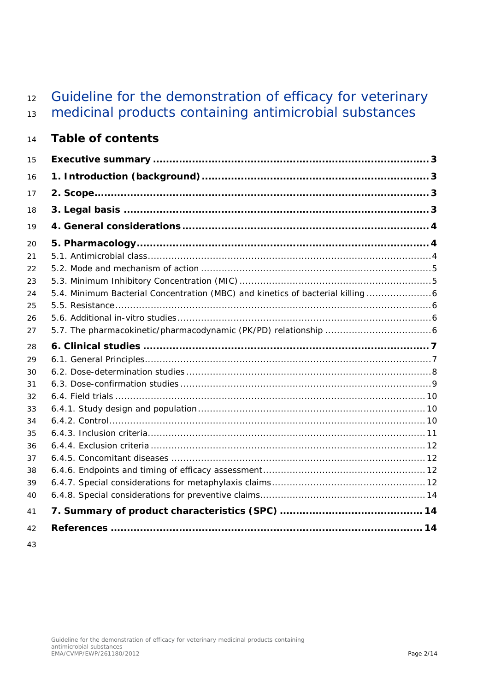# 12 Guideline for the demonstration of efficacy for veterinary

medicinal products containing antimicrobial substances

# **Table of contents**

| 15                                     |                                                                              |
|----------------------------------------|------------------------------------------------------------------------------|
| 16                                     |                                                                              |
| 17                                     |                                                                              |
| 18                                     |                                                                              |
| 19                                     |                                                                              |
| 20<br>21<br>22                         |                                                                              |
| 23<br>24<br>25<br>26<br>27             | 5.4. Minimum Bacterial Concentration (MBC) and kinetics of bacterial killing |
| 28                                     |                                                                              |
| 29<br>30<br>31<br>32<br>33<br>34<br>35 |                                                                              |
| 36<br>37                               |                                                                              |
| 38<br>39<br>40<br>41                   |                                                                              |
| 42                                     |                                                                              |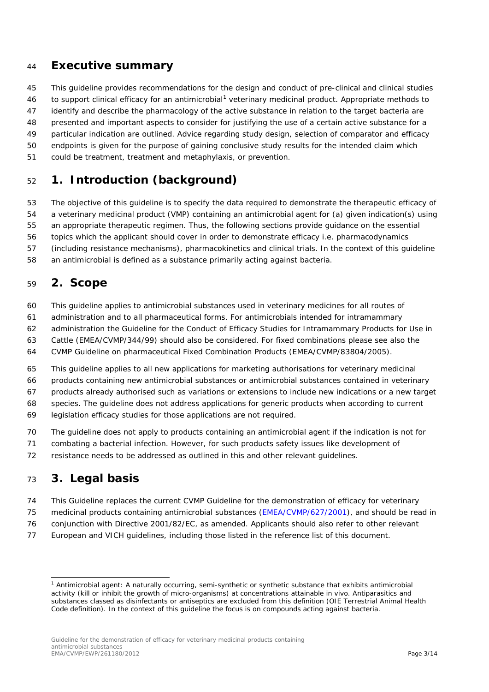### <span id="page-2-0"></span>**Executive summary**

This guideline provides recommendations for the design and conduct of pre-clinical and clinical studies

46 to support clinical efficacy for an antimicrobial<sup>[1](#page-2-4)</sup> veterinary medicinal product. Appropriate methods to

identify and describe the pharmacology of the active substance in relation to the target bacteria are

presented and important aspects to consider for justifying the use of a certain active substance for a

particular indication are outlined. Advice regarding study design, selection of comparator and efficacy

- endpoints is given for the purpose of gaining conclusive study results for the intended claim which
- could be treatment, treatment and metaphylaxis, or prevention.

# <span id="page-2-1"></span>**1. Introduction (background)**

The objective of this guideline is to specify the data required to demonstrate the therapeutic efficacy of

a veterinary medicinal product (VMP) containing an antimicrobial agent for (a) given indication(s) using

an appropriate therapeutic regimen. Thus, the following sections provide guidance on the essential

topics which the applicant should cover in order to demonstrate efficacy i.e. pharmacodynamics

(including resistance mechanisms), pharmacokinetics and clinical trials. In the context of this guideline

an antimicrobial is defined as a substance primarily acting against bacteria.

# <span id="page-2-2"></span>**2. Scope**

- This guideline applies to antimicrobial substances used in veterinary medicines for all routes of
- administration and to all pharmaceutical forms. For antimicrobials intended for intramammary
- administration the Guideline for the Conduct of Efficacy Studies for Intramammary Products for Use in
- Cattle (EMEA/CVMP/344/99) should also be considered. For fixed combinations please see also the
- CVMP Guideline on pharmaceutical Fixed Combination Products (EMEA/CVMP/83804/2005).
- This guideline applies to all new applications for marketing authorisations for veterinary medicinal
- products containing new antimicrobial substances or antimicrobial substances contained in veterinary
- products already authorised such as variations or extensions to include new indications or a new target
- species. The guideline does not address applications for generic products when according to current
- legislation efficacy studies for those applications are not required.
- The guideline does not apply to products containing an antimicrobial agent if the indication is not for
- combating a bacterial infection. However, for such products safety issues like development of
- resistance needs to be addressed as outlined in this and other relevant guidelines.

# <span id="page-2-3"></span>**3. Legal basis**

j

- This Guideline replaces the current CVMP Guideline for the demonstration of efficacy for veterinary
- medicinal products containing antimicrobial substances [\(EMEA/CVMP/627/2001\)](http://www.ema.europa.eu/docs/en_GB/document_library/Scientific_guideline/2009/10/WC500004492.pdf), and should be read in
- conjunction with Directive 2001/82/EC, as amended. Applicants should also refer to other relevant
- European and VICH guidelines, including those listed in the reference list of this document.

<span id="page-2-4"></span> Antimicrobial agent: A naturally occurring, semi-synthetic or synthetic substance that exhibits antimicrobial activity (kill or inhibit the growth of micro-organisms) at concentrations attainable *in vivo*. Antiparasitics and substances classed as disinfectants or antiseptics are excluded from this definition (OIE Terrestrial Animal Health Code definition). In the context of this guideline the focus is on compounds acting against bacteria.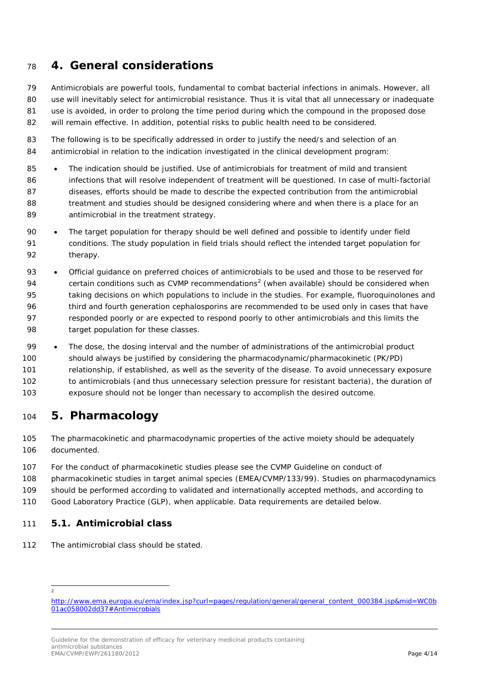# <span id="page-3-0"></span>**4. General considerations**

 Antimicrobials are powerful tools, fundamental to combat bacterial infections in animals. However, all 80 use will inevitably select for antimicrobial resistance. Thus it is vital that all unnecessary or inadequate use is avoided, in order to prolong the time period during which the compound in the proposed dose will remain effective. In addition, potential risks to public health need to be considered.

- The following is to be specifically addressed in order to justify the need/s and selection of an antimicrobial in relation to the indication investigated in the clinical development program:
- 85 The indication should be justified. Use of antimicrobials for treatment of mild and transient infections that will resolve independent of treatment will be questioned. In case of multi-factorial diseases, efforts should be made to describe the expected contribution from the antimicrobial 88 treatment and studies should be designed considering where and when there is a place for an 89 antimicrobial in the treatment strategy.
- The target population for therapy should be well defined and possible to identify under field conditions. The study population in field trials should reflect the intended target population for therapy.
- Official guidance on preferred choices of antimicrobials to be used and those to be reserved for 94 certain conditions such as CVMP recommendations<sup>[2](#page-3-3)</sup> (when available) should be considered when taking decisions on which populations to include in the studies. For example, fluoroquinolones and third and fourth generation cephalosporins are recommended to be used only in cases that have responded poorly or are expected to respond poorly to other antimicrobials and this limits the target population for these classes.
- The dose, the dosing interval and the number of administrations of the antimicrobial product should always be justified by considering the pharmacodynamic/pharmacokinetic (PK/PD) relationship, if established, as well as the severity of the disease. To avoid unnecessary exposure to antimicrobials (and thus unnecessary selection pressure for resistant bacteria), the duration of exposure should not be longer than necessary to accomplish the desired outcome.

# <span id="page-3-1"></span>**5. Pharmacology**

- The pharmacokinetic and pharmacodynamic properties of the active moiety should be adequately documented.
- For the conduct of pharmacokinetic studies please see the CVMP Guideline on conduct of
- pharmacokinetic studies in target animal species (EMEA/CVMP/133/99). Studies on pharmacodynamics
- should be performed according to validated and internationally accepted methods, and according to
- Good Laboratory Practice (GLP), when applicable. Data requirements are detailed below.

#### <span id="page-3-2"></span>*5.1. Antimicrobial class*

- The antimicrobial class should be stated.
	- j

<span id="page-3-3"></span>[http://www.ema.europa.eu/ema/index.jsp?curl=pages/regulation/general/general\\_content\\_000384.jsp&mid=WC0b](http://www.ema.europa.eu/ema/index.jsp?curl=pages/regulation/general/general_content_000384.jsp&mid=WC0b01ac058002dd37%23Antimicrobials) [01ac058002dd37#Antimicrobials](http://www.ema.europa.eu/ema/index.jsp?curl=pages/regulation/general/general_content_000384.jsp&mid=WC0b01ac058002dd37%23Antimicrobials)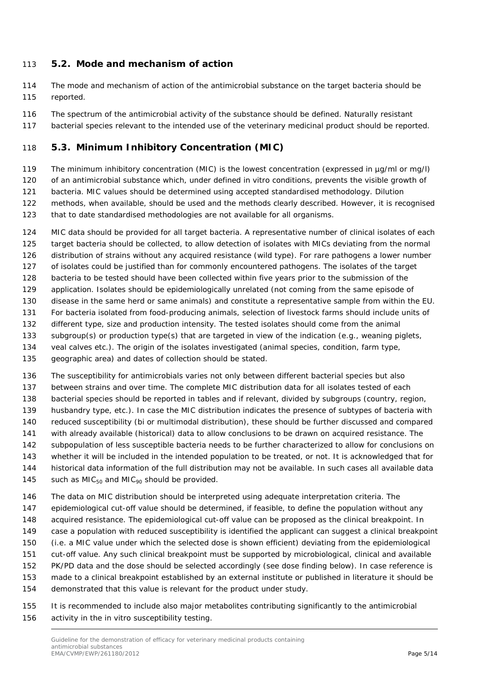#### <span id="page-4-0"></span>*5.2. Mode and mechanism of action*

- The mode and mechanism of action of the antimicrobial substance on the target bacteria should be reported.
- The spectrum of the antimicrobial activity of the substance should be defined. Naturally resistant
- bacterial species relevant to the intended use of the veterinary medicinal product should be reported.

#### <span id="page-4-1"></span>*5.3. Minimum Inhibitory Concentration (MIC)*

- 119 The minimum inhibitory concentration (MIC) is the lowest concentration (expressed in µg/ml or mg/l) of an antimicrobial substance which, under defined *in vitro* conditions, prevents the visible growth of bacteria. MIC values should be determined using accepted standardised methodology. Dilution
- methods, when available, should be used and the methods clearly described. However, it is recognised
- that to date standardised methodologies are not available for all organisms.
- MIC data should be provided for all target bacteria. A representative number of clinical isolates of each target bacteria should be collected, to allow detection of isolates with MICs deviating from the normal distribution of strains without any acquired resistance (wild type). For rare pathogens a lower number of isolates could be justified than for commonly encountered pathogens. The isolates of the target bacteria to be tested should have been collected within five years prior to the submission of the application. Isolates should be epidemiologically unrelated (not coming from the same episode of disease in the same herd or same animals) and constitute a representative sample from within the EU. For bacteria isolated from food-producing animals, selection of livestock farms should include units of different type, size and production intensity. The tested isolates should come from the animal subgroup(s) or production type(s) that are targeted in view of the indication (e.g., weaning piglets, veal calves etc.). The origin of the isolates investigated (animal species, condition, farm type, geographic area) and dates of collection should be stated.
- The susceptibility for antimicrobials varies not only between different bacterial species but also between strains and over time. The complete MIC distribution data for all isolates tested of each bacterial species should be reported in tables and if relevant, divided by subgroups (country, region, husbandry type, etc.). In case the MIC distribution indicates the presence of subtypes of bacteria with reduced susceptibility (bi or multimodal distribution), these should be further discussed and compared with already available (historical) data to allow conclusions to be drawn on acquired resistance. The subpopulation of less susceptible bacteria needs to be further characterized to allow for conclusions on whether it will be included in the intended population to be treated, or not. It is acknowledged that for historical data information of the full distribution may not be available. In such cases all available data 145 such as  $MIC_{50}$  and  $MIC_{90}$  should be provided.
- The data on MIC distribution should be interpreted using adequate interpretation criteria. The epidemiological cut-off value should be determined, if feasible, to define the population without any acquired resistance. The epidemiological cut-off value can be proposed as the clinical breakpoint. In case a population with reduced susceptibility is identified the applicant can suggest a clinical breakpoint (i.e. a MIC value under which the selected dose is shown efficient) deviating from the epidemiological cut-off value. Any such clinical breakpoint must be supported by microbiological, clinical and available PK/PD data and the dose should be selected accordingly (see dose finding below). In case reference is made to a clinical breakpoint established by an external institute or published in literature it should be demonstrated that this value is relevant for the product under study.
- It is recommended to include also major metabolites contributing significantly to the antimicrobial activity in the *in vitro* susceptibility testing.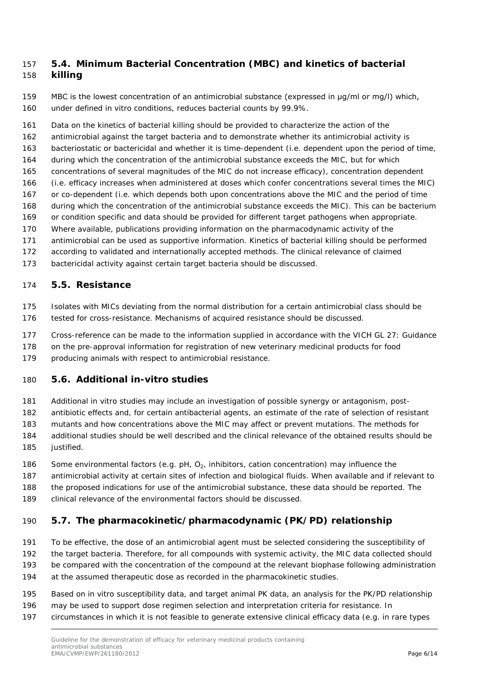#### <span id="page-5-0"></span> *5.4. Minimum Bacterial Concentration (MBC) and kinetics of bacterial killing*

 MBC is the lowest concentration of an antimicrobial substance (expressed in μg/ml or mg/l) which, under defined *in vitro* conditions, reduces bacterial counts by 99.9%.

Data on the kinetics of bacterial killing should be provided to characterize the action of the

- antimicrobial against the target bacteria and to demonstrate whether its antimicrobial activity is
- bacteriostatic or bactericidal and whether it is time-dependent (i.e. dependent upon the period of time,
- during which the concentration of the antimicrobial substance exceeds the MIC, but for which
- concentrations of several magnitudes of the MIC do not increase efficacy), concentration dependent
- (i.e. efficacy increases when administered at doses which confer concentrations several times the MIC) or co-dependent (i.e. which depends both upon concentrations above the MIC and the period of time
- during which the concentration of the antimicrobial substance exceeds the MIC). This can be bacterium
- or condition specific and data should be provided for different target pathogens when appropriate.
- Where available, publications providing information on the pharmacodynamic activity of the
- antimicrobial can be used as supportive information. Kinetics of bacterial killing should be performed
- according to validated and internationally accepted methods. The clinical relevance of claimed
- bactericidal activity against certain target bacteria should be discussed.

### <span id="page-5-1"></span>*5.5. Resistance*

- Isolates with MICs deviating from the normal distribution for a certain antimicrobial class should be
- tested for cross-resistance. Mechanisms of acquired resistance should be discussed.
- Cross-reference can be made to the information supplied in accordance with the VICH GL 27: Guidance
- on the pre-approval information for registration of new veterinary medicinal products for food
- producing animals with respect to antimicrobial resistance.

# <span id="page-5-2"></span>*5.6. Additional in-vitro studies*

- Additional *in vitro* studies may include an investigation of possible synergy or antagonism, post-
- antibiotic effects and, for certain antibacterial agents, an estimate of the rate of selection of resistant
- mutants and how concentrations above the MIC may affect or prevent mutations. The methods for
- additional studies should be well described and the clinical relevance of the obtained results should be 185 iustified.
- 186 Some environmental factors (e.g. pH,  $O<sub>2</sub>$ , inhibitors, cation concentration) may influence the
- antimicrobial activity at certain sites of infection and biological fluids. When available and if relevant to
- the proposed indications for use of the antimicrobial substance, these data should be reported. The
- clinical relevance of the environmental factors should be discussed.

# <span id="page-5-3"></span>*5.7. The pharmacokinetic/pharmacodynamic (PK/PD) relationship*

- To be effective, the dose of an antimicrobial agent must be selected considering the susceptibility of the target bacteria. Therefore, for all compounds with systemic activity, the MIC data collected should
- be compared with the concentration of the compound at the relevant biophase following administration
- at the assumed therapeutic dose as recorded in the pharmacokinetic studies.
- Based on *in vitro* susceptibility data, and target animal PK data, an analysis for the PK/PD relationship
- may be used to support dose regimen selection and interpretation criteria for resistance. In
- circumstances in which it is not feasible to generate extensive clinical efficacy data (e.g. in rare types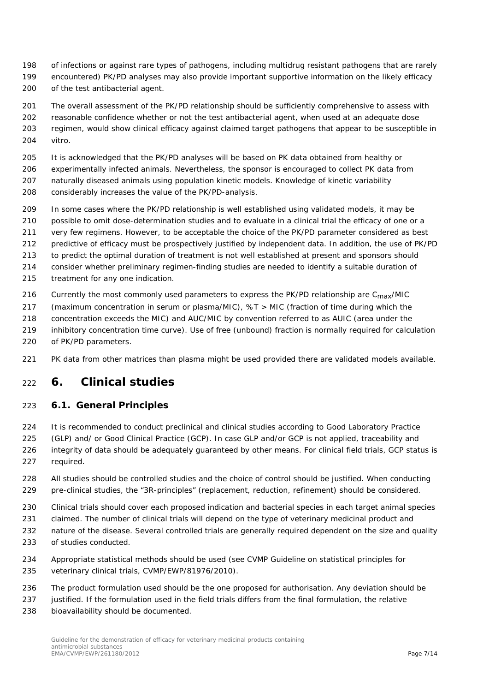- of infections or against rare types of pathogens, including multidrug resistant pathogens that are rarely encountered) PK/PD analyses may also provide important supportive information on the likely efficacy
- of the test antibacterial agent.
- 201 The overall assessment of the PK/PD relationship should be sufficiently comprehensive to assess with reasonable confidence whether or not the test antibacterial agent, when used at an adequate dose regimen, would show clinical efficacy against claimed target pathogens that appear to be susceptible *in vitro*.
- It is acknowledged that the PK/PD analyses will be based on PK data obtained from healthy or
- experimentally infected animals. Nevertheless, the sponsor is encouraged to collect PK data from naturally diseased animals using population kinetic models. Knowledge of kinetic variability
- considerably increases the value of the PK/PD-analysis.
- In some cases where the PK/PD relationship is well established using validated models, it may be
- possible to omit dose-determination studies and to evaluate in a clinical trial the efficacy of one or a
- very few regimens. However, to be acceptable the choice of the PK/PD parameter considered as best
- predictive of efficacy must be prospectively justified by independent data. In addition, the use of PK/PD
- to predict the optimal duration of treatment is not well established at present and sponsors should
- consider whether preliminary regimen-finding studies are needed to identify a suitable duration of treatment for any one indication.
- 216 Currently the most commonly used parameters to express the PK/PD relationship are  $C_{\text{max}}/MIC$
- (maximum concentration in serum or plasma/MIC), %T > MIC (fraction of time during which the
- concentration exceeds the MIC) and AUC/MIC by convention referred to as AUIC (area under the
- inhibitory concentration time curve). Use of free (unbound) fraction is normally required for calculation of PK/PD parameters.
- PK data from other matrices than plasma might be used provided there are validated models available.

# <span id="page-6-0"></span>**6. Clinical studies**

#### <span id="page-6-1"></span>*6.1. General Principles*

- It is recommended to conduct preclinical and clinical studies according to Good Laboratory Practice (GLP) and/ or Good Clinical Practice (GCP). In case GLP and/or GCP is not applied, traceability and integrity of data should be adequately guaranteed by other means. For clinical field trials, GCP status is
- required.
	- All studies should be controlled studies and the choice of control should be justified. When conducting pre-clinical studies, the "3R-principles" (replacement, reduction, refinement) should be considered.
	- Clinical trials should cover each proposed indication and bacterial species in each target animal species
- claimed. The number of clinical trials will depend on the type of veterinary medicinal product and
- 232 nature of the disease. Several controlled trials are generally required dependent on the size and quality of studies conducted.
- Appropriate statistical methods should be used (see CVMP Guideline on statistical principles for veterinary clinical trials, CVMP/EWP/81976/2010).
- The product formulation used should be the one proposed for authorisation. Any deviation should be
- 237 iustified. If the formulation used in the field trials differs from the final formulation, the relative
- bioavailability should be documented.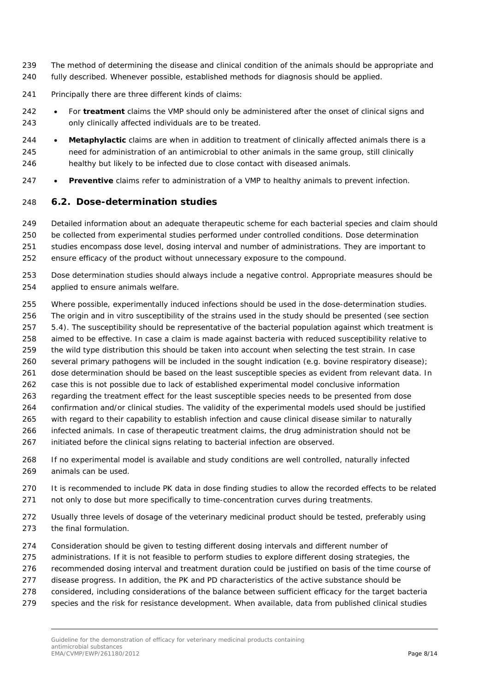- The method of determining the disease and clinical condition of the animals should be appropriate and fully described. Whenever possible, established methods for diagnosis should be applied.
- Principally there are three different kinds of claims:
- For **treatment** claims the VMP should only be administered after the onset of clinical signs and only clinically affected individuals are to be treated.
- **Metaphylactic** claims are when in addition to treatment of clinically affected animals there is a need for administration of an antimicrobial to other animals in the same group, still clinically healthy but likely to be infected due to close contact with diseased animals.
- **Preventive** claims refer to administration of a VMP to healthy animals to prevent infection.

#### <span id="page-7-0"></span>*6.2. Dose-determination studies*

 Detailed information about an adequate therapeutic scheme for each bacterial species and claim should be collected from experimental studies performed under controlled conditions. Dose determination studies encompass dose level, dosing interval and number of administrations. They are important to ensure efficacy of the product without unnecessary exposure to the compound.

- Dose determination studies should always include a negative control. Appropriate measures should be applied to ensure animals welfare.
- Where possible, experimentally induced infections should be used in the dose-determination studies. The origin and *in vitro* susceptibility of the strains used in the study should be presented (see section 5.4). The susceptibility should be representative of the bacterial population against which treatment is aimed to be effective. In case a claim is made against bacteria with reduced susceptibility relative to the wild type distribution this should be taken into account when selecting the test strain. In case 260 several primary pathogens will be included in the sought indication (e.g. bovine respiratory disease);
- 261 dose determination should be based on the least susceptible species as evident from relevant data. In
- case this is not possible due to lack of established experimental model conclusive information
- regarding the treatment effect for the least susceptible species needs to be presented from dose
- confirmation and/or clinical studies. The validity of the experimental models used should be justified
- with regard to their capability to establish infection and cause clinical disease similar to naturally
- infected animals. In case of therapeutic treatment claims, the drug administration should not be
- initiated before the clinical signs relating to bacterial infection are observed.
- If no experimental model is available and study conditions are well controlled, naturally infected animals can be used.
- It is recommended to include PK data in dose finding studies to allow the recorded effects to be related not only to dose but more specifically to time-concentration curves during treatments.
- Usually three levels of dosage of the veterinary medicinal product should be tested, preferably using the final formulation.
- Consideration should be given to testing different dosing intervals and different number of
- administrations. If it is not feasible to perform studies to explore different dosing strategies, the
- recommended dosing interval and treatment duration could be justified on basis of the time course of
- 277 disease progress. In addition, the PK and PD characteristics of the active substance should be
- considered, including considerations of the balance between sufficient efficacy for the target bacteria
- species and the risk for resistance development. When available, data from published clinical studies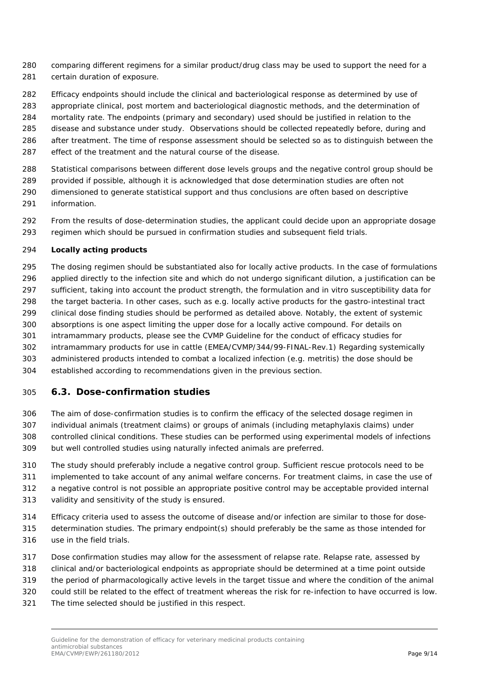- comparing different regimens for a similar product/drug class may be used to support the need for a certain duration of exposure.
- Efficacy endpoints should include the clinical and bacteriological response as determined by use of
- appropriate clinical, post mortem and bacteriological diagnostic methods, and the determination of
- mortality rate. The endpoints (primary and secondary) used should be justified in relation to the
- disease and substance under study. Observations should be collected repeatedly before, during and
- after treatment. The time of response assessment should be selected so as to distinguish between the
- effect of the treatment and the natural course of the disease.
- Statistical comparisons between different dose levels groups and the negative control group should be
- 289 provided if possible, although it is acknowledged that dose determination studies are often not dimensioned to generate statistical support and thus conclusions are often based on descriptive
- information.
- From the results of dose-determination studies, the applicant could decide upon an appropriate dosage regimen which should be pursued in confirmation studies and subsequent field trials.

#### **Locally acting products**

 The dosing regimen should be substantiated also for locally active products. In the case of formulations applied directly to the infection site and which do not undergo significant dilution, a justification can be sufficient, taking into account the product strength, the formulation and *in vitro* susceptibility data for the target bacteria. In other cases, such as e.g. locally active products for the gastro-intestinal tract clinical dose finding studies should be performed as detailed above. Notably, the extent of systemic absorptions is one aspect limiting the upper dose for a locally active compound. For details on intramammary products, please see the CVMP Guideline for the conduct of efficacy studies for intramammary products for use in cattle (EMEA/CVMP/344/99-FINAL-Rev.1) Regarding systemically administered products intended to combat a localized infection (e.g. metritis) the dose should be established according to recommendations given in the previous section.

#### <span id="page-8-0"></span>*6.3. Dose-confirmation studies*

- The aim of dose-confirmation studies is to confirm the efficacy of the selected dosage regimen in individual animals (treatment claims) or groups of animals (including metaphylaxis claims) under controlled clinical conditions. These studies can be performed using experimental models of infections but well controlled studies using naturally infected animals are preferred.
- The study should preferably include a negative control group. Sufficient rescue protocols need to be
- implemented to take account of any animal welfare concerns. For treatment claims, in case the use of
- a negative control is not possible an appropriate positive control may be acceptable provided internal validity and sensitivity of the study is ensured.
- - Efficacy criteria used to assess the outcome of disease and/or infection are similar to those for dose-determination studies. The primary endpoint(s) should preferably be the same as those intended for
- use in the field trials.
- Dose confirmation studies may allow for the assessment of relapse rate. Relapse rate, assessed by
- clinical and/or bacteriological endpoints as appropriate should be determined at a time point outside
- the period of pharmacologically active levels in the target tissue and where the condition of the animal
- could still be related to the effect of treatment whereas the risk for re-infection to have occurred is low.
- The time selected should be justified in this respect.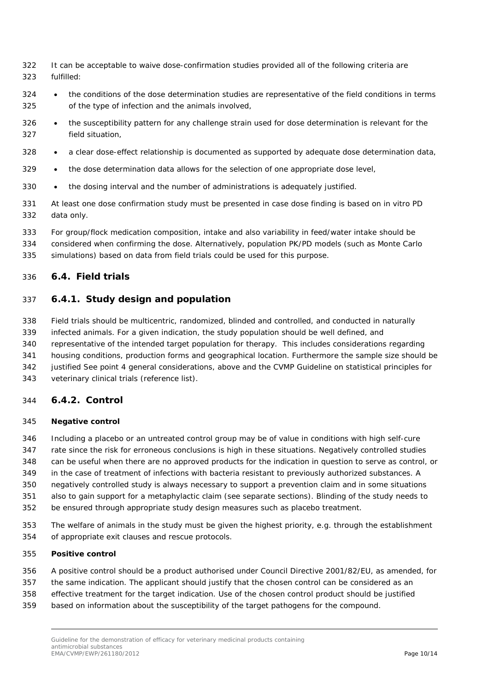- It can be acceptable to waive dose-confirmation studies provided all of the following criteria are fulfilled:
- 324 the conditions of the dose determination studies are representative of the field conditions in terms of the type of infection and the animals involved,
- the susceptibility pattern for any challenge strain used for dose determination is relevant for the field situation,
- 328 a clear dose-effect relationship is documented as supported by adequate dose determination data,
- the dose determination data allows for the selection of one appropriate dose level,
- the dosing interval and the number of administrations is adequately justified.
- At least one dose confirmation study must be presented in case dose finding is based on *in vitro* PD data only.
- For group/flock medication composition, intake and also variability in feed/water intake should be
- considered when confirming the dose. Alternatively, population PK/PD models (such as Monte Carlo
- <span id="page-9-0"></span>simulations) based on data from field trials could be used for this purpose.

#### *6.4. Field trials*

#### <span id="page-9-1"></span>**6.4.1. Study design and population**

- Field trials should be multicentric, randomized, blinded and controlled, and conducted in naturally
- infected animals. For a given indication, the study population should be well defined, and
- representative of the intended target population for therapy. This includes considerations regarding
- housing conditions, production forms and geographical location. Furthermore the sample size should be
- justified See point 4 general considerations, above and the CVMP Guideline on statistical principles for
- veterinary clinical trials (reference list).

#### <span id="page-9-2"></span>**6.4.2. Control**

#### **Negative control**

- Including a placebo or an untreated control group may be of value in conditions with high self-cure
- rate since the risk for erroneous conclusions is high in these situations. Negatively controlled studies
- can be useful when there are no approved products for the indication in question to serve as control, or in the case of treatment of infections with bacteria resistant to previously authorized substances. A
- negatively controlled study is always necessary to support a prevention claim and in some situations
- also to gain support for a metaphylactic claim (see separate sections). Blinding of the study needs to
- be ensured through appropriate study design measures such as placebo treatment.
- The welfare of animals in the study must be given the highest priority, e.g. through the establishment of appropriate exit clauses and rescue protocols.

#### **Positive control**

- A positive control should be a product authorised under Council Directive 2001/82/EU, as amended, for
- the same indication. The applicant should justify that the chosen control can be considered as an
- effective treatment for the target indication. Use of the chosen control product should be justified
- based on information about the susceptibility of the target pathogens for the compound.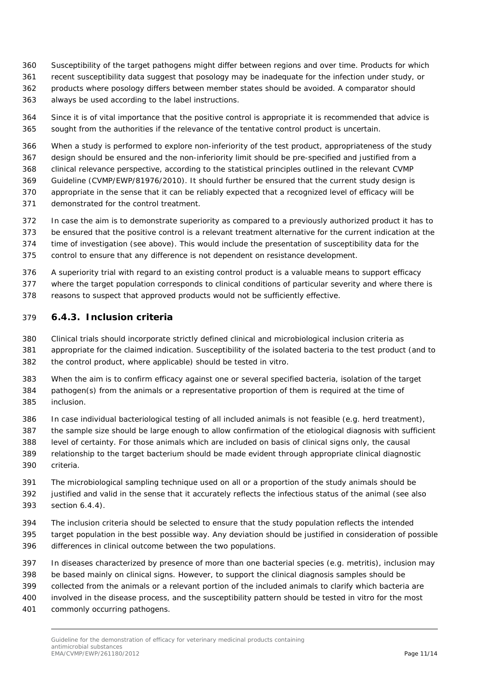- Susceptibility of the target pathogens might differ between regions and over time. Products for which
- recent susceptibility data suggest that posology may be inadequate for the infection under study, or
- products where posology differs between member states should be avoided. A comparator should
- always be used according to the label instructions.
- Since it is of vital importance that the positive control is appropriate it is recommended that advice is sought from the authorities if the relevance of the tentative control product is uncertain.
- When a study is performed to explore non-inferiority of the test product, appropriateness of the study
- design should be ensured and the non-inferiority limit should be pre-specified and justified from a
- clinical relevance perspective, according to the statistical principles outlined in the relevant CVMP
- Guideline (CVMP/EWP/81976/2010). It should further be ensured that the current study design is appropriate in the sense that it can be reliably expected that a recognized level of efficacy will be
- demonstrated for the control treatment.
- In case the aim is to demonstrate superiority as compared to a previously authorized product it has to
- be ensured that the positive control is a relevant treatment alternative for the current indication at the
- time of investigation (see above). This would include the presentation of susceptibility data for the
- control to ensure that any difference is not dependent on resistance development.
- A superiority trial with regard to an existing control product is a valuable means to support efficacy
- where the target population corresponds to clinical conditions of particular severity and where there is
- reasons to suspect that approved products would not be sufficiently effective.

#### <span id="page-10-0"></span>**6.4.3. Inclusion criteria**

- Clinical trials should incorporate strictly defined clinical and microbiological inclusion criteria as appropriate for the claimed indication. Susceptibility of the isolated bacteria to the test product (and to the control product, where applicable) should be tested *in vitro*.
- When the aim is to confirm efficacy against one or several specified bacteria, isolation of the target pathogen(s) from the animals or a representative proportion of them is required at the time of inclusion.
- In case individual bacteriological testing of all included animals is not feasible (e.g. herd treatment),
- the sample size should be large enough to allow confirmation of the etiological diagnosis with sufficient
- level of certainty. For those animals which are included on basis of clinical signs only, the causal
- relationship to the target bacterium should be made evident through appropriate clinical diagnostic criteria.
- The microbiological sampling technique used on all or a proportion of the study animals should be justified and valid in the sense that it accurately reflects the infectious status of the animal (see also section 6.4.4).
- The inclusion criteria should be selected to ensure that the study population reflects the intended target population in the best possible way. Any deviation should be justified in consideration of possible differences in clinical outcome between the two populations.
- In diseases characterized by presence of more than one bacterial species (e.g. metritis), inclusion may
- be based mainly on clinical signs. However, to support the clinical diagnosis samples should be
- collected from the animals or a relevant portion of the included animals to clarify which bacteria are
- involved in the disease process, and the susceptibility pattern should be tested *in vitro* for the most
- commonly occurring pathogens.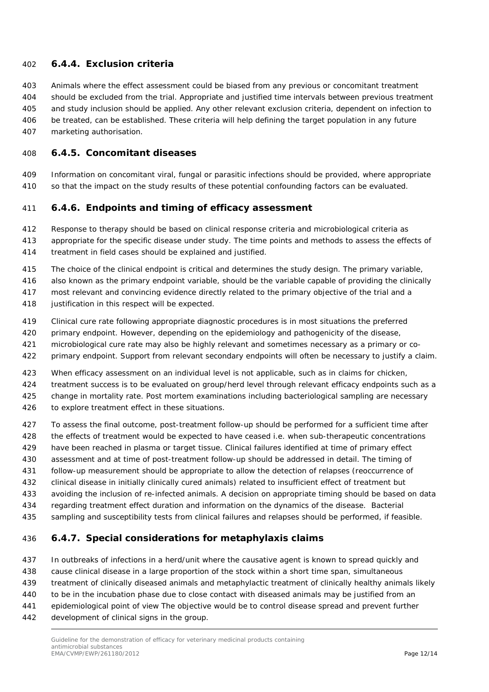#### <span id="page-11-0"></span>**6.4.4. Exclusion criteria**

 Animals where the effect assessment could be biased from any previous or concomitant treatment should be excluded from the trial. Appropriate and justified time intervals between previous treatment and study inclusion should be applied. Any other relevant exclusion criteria, dependent on infection to be treated, can be established. These criteria will help defining the target population in any future marketing authorisation.

#### <span id="page-11-1"></span>**6.4.5. Concomitant diseases**

 Information on concomitant viral, fungal or parasitic infections should be provided, where appropriate so that the impact on the study results of these potential confounding factors can be evaluated.

#### <span id="page-11-2"></span>**6.4.6. Endpoints and timing of efficacy assessment**

Response to therapy should be based on clinical response criteria and microbiological criteria as

- appropriate for the specific disease under study. The time points and methods to assess the effects of
- treatment in field cases should be explained and justified.
- The choice of the clinical endpoint is critical and determines the study design. The primary variable,
- also known as the primary endpoint variable, should be the variable capable of providing the clinically
- most relevant and convincing evidence directly related to the primary objective of the trial and a
- 418 justification in this respect will be expected.
- Clinical cure rate following appropriate diagnostic procedures is in most situations the preferred
- primary endpoint. However, depending on the epidemiology and pathogenicity of the disease,
- microbiological cure rate may also be highly relevant and sometimes necessary as a primary or co-
- primary endpoint. Support from relevant secondary endpoints will often be necessary to justify a claim.
- When efficacy assessment on an individual level is not applicable, such as in claims for chicken,
- treatment success is to be evaluated on group/herd level through relevant efficacy endpoints such as a
- change in mortality rate. Post mortem examinations including bacteriological sampling are necessary
- to explore treatment effect in these situations.
- To assess the final outcome, post-treatment follow-up should be performed for a sufficient time after
- the effects of treatment would be expected to have ceased i.e. when sub-therapeutic concentrations
- have been reached in plasma or target tissue. Clinical failures identified at time of primary effect
- assessment and at time of post-treatment follow-up should be addressed in detail. The timing of
- follow-up measurement should be appropriate to allow the detection of relapses (reoccurrence of
- clinical disease in initially clinically cured animals) related to insufficient effect of treatment but
- avoiding the inclusion of re-infected animals. A decision on appropriate timing should be based on data
- regarding treatment effect duration and information on the dynamics of the disease. Bacterial
- <span id="page-11-3"></span>sampling and susceptibility tests from clinical failures and relapses should be performed, if feasible.

#### **6.4.7. Special considerations for metaphylaxis claims**

- In outbreaks of infections in a herd/unit where the causative agent is known to spread quickly and
- cause clinical disease in a large proportion of the stock within a short time span, simultaneous
- treatment of clinically diseased animals and metaphylactic treatment of clinically healthy animals likely
- to be in the incubation phase due to close contact with diseased animals may be justified from an
- epidemiological point of view The objective would be to control disease spread and prevent further
- development of clinical signs in the group.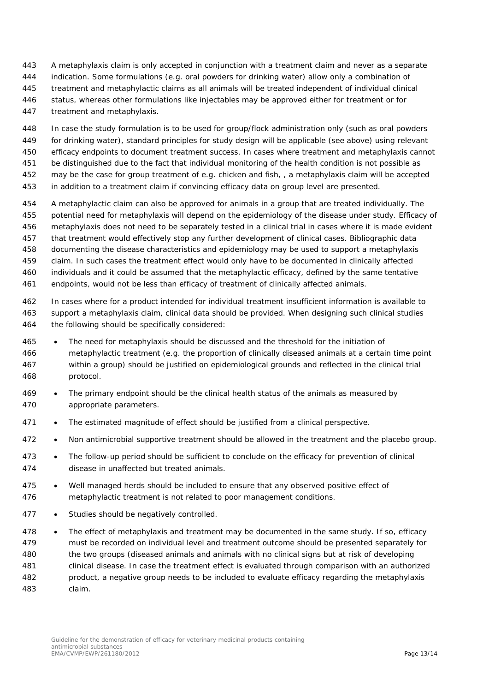- A metaphylaxis claim is only accepted in conjunction with a treatment claim and never as a separate
- indication. Some formulations (e.g. oral powders for drinking water) allow only a combination of
- treatment and metaphylactic claims as all animals will be treated independent of individual clinical
- status, whereas other formulations like injectables may be approved either for treatment or for
- treatment and metaphylaxis.

 In case the study formulation is to be used for group/flock administration only (such as oral powders for drinking water), standard principles for study design will be applicable (see above) using relevant efficacy endpoints to document treatment success. In cases where treatment and metaphylaxis cannot be distinguished due to the fact that individual monitoring of the health condition is not possible as may be the case for group treatment of e.g. chicken and fish, , a metaphylaxis claim will be accepted

- in addition to a treatment claim if convincing efficacy data on group level are presented.
- A metaphylactic claim can also be approved for animals in a group that are treated individually. The potential need for metaphylaxis will depend on the epidemiology of the disease under study. Efficacy of metaphylaxis does not need to be separately tested in a clinical trial in cases where it is made evident that treatment would effectively stop any further development of clinical cases. Bibliographic data documenting the disease characteristics and epidemiology may be used to support a metaphylaxis claim. In such cases the treatment effect would only have to be documented in clinically affected individuals and it could be assumed that the metaphylactic efficacy, defined by the same tentative endpoints, would not be less than efficacy of treatment of clinically affected animals.
- In cases where for a product intended for individual treatment insufficient information is available to support a metaphylaxis claim, clinical data should be provided. When designing such clinical studies the following should be specifically considered:
- The need for metaphylaxis should be discussed and the threshold for the initiation of metaphylactic treatment (e.g. the proportion of clinically diseased animals at a certain time point within a group) should be justified on epidemiological grounds and reflected in the clinical trial protocol.
- The primary endpoint should be the clinical health status of the animals as measured by appropriate parameters.
- 471 The estimated magnitude of effect should be justified from a clinical perspective.
- Non antimicrobial supportive treatment should be allowed in the treatment and the placebo group.
- The follow-up period should be sufficient to conclude on the efficacy for prevention of clinical disease in unaffected but treated animals.
- Well managed herds should be included to ensure that any observed positive effect of metaphylactic treatment is not related to poor management conditions.
- 477 Studies should be negatively controlled.
- 478 The effect of metaphylaxis and treatment may be documented in the same study. If so, efficacy must be recorded on individual level and treatment outcome should be presented separately for the two groups (diseased animals and animals with no clinical signs but at risk of developing clinical disease. In case the treatment effect is evaluated through comparison with an authorized product, a negative group needs to be included to evaluate efficacy regarding the metaphylaxis claim.